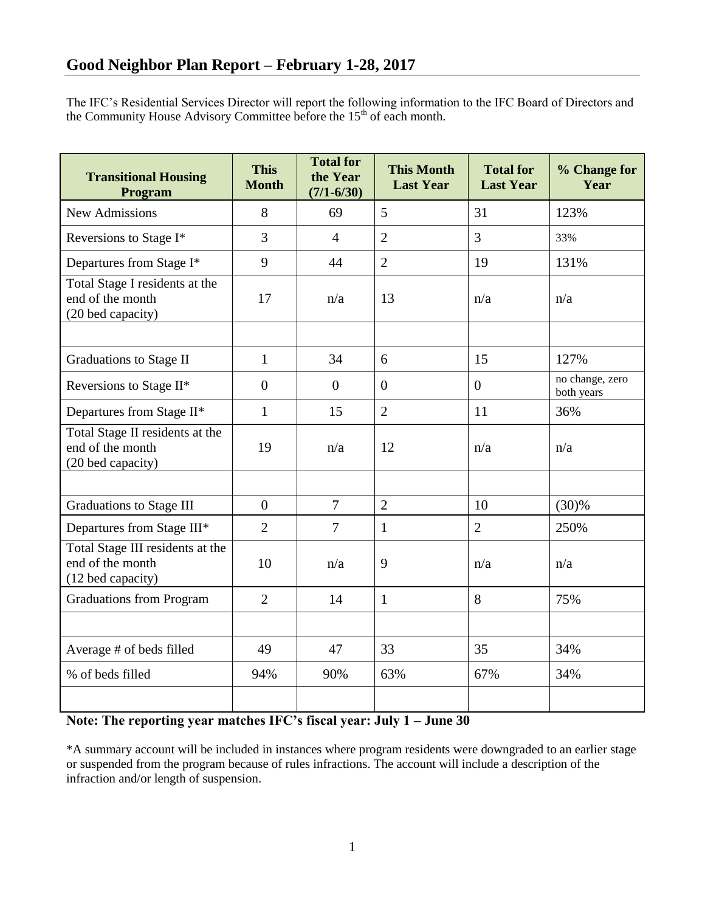The IFC's Residential Services Director will report the following information to the IFC Board of Directors and the Community House Advisory Committee before the  $15<sup>th</sup>$  of each month.

| <b>Transitional Housing</b><br>Program                                    | <b>This</b><br><b>Month</b> | <b>Total for</b><br>the Year<br>$(7/1 - 6/30)$ | <b>This Month</b><br><b>Last Year</b> | <b>Total for</b><br><b>Last Year</b> | % Change for<br>Year          |
|---------------------------------------------------------------------------|-----------------------------|------------------------------------------------|---------------------------------------|--------------------------------------|-------------------------------|
| <b>New Admissions</b>                                                     | 8                           | 69                                             | 5                                     | 31                                   | 123%                          |
| Reversions to Stage I*                                                    | 3                           | $\overline{4}$                                 | $\overline{2}$                        | 3                                    | 33%                           |
| Departures from Stage I*                                                  | 9                           | 44                                             | $\overline{2}$                        | 19                                   | 131%                          |
| Total Stage I residents at the<br>end of the month<br>(20 bed capacity)   | 17                          | n/a                                            | 13                                    | n/a                                  | n/a                           |
|                                                                           |                             |                                                |                                       |                                      |                               |
| <b>Graduations to Stage II</b>                                            | $\mathbf{1}$                | 34                                             | 6                                     | 15                                   | 127%                          |
| Reversions to Stage II*                                                   | $\theta$                    | $\overline{0}$                                 | $\theta$                              | $\overline{0}$                       | no change, zero<br>both years |
| Departures from Stage II*                                                 | $\mathbf{1}$                | 15                                             | $\overline{2}$                        | 11                                   | 36%                           |
| Total Stage II residents at the<br>end of the month<br>(20 bed capacity)  | 19                          | n/a                                            | 12                                    | n/a                                  | n/a                           |
|                                                                           |                             |                                                |                                       |                                      |                               |
| <b>Graduations to Stage III</b>                                           | $\overline{0}$              | $\overline{7}$                                 | $\overline{2}$                        | 10                                   | (30)%                         |
| Departures from Stage III*                                                | $\overline{2}$              | $\overline{7}$                                 | $\mathbf{1}$                          | $\overline{2}$                       | 250%                          |
| Total Stage III residents at the<br>end of the month<br>(12 bed capacity) | 10                          | n/a                                            | 9                                     | n/a                                  | n/a                           |
| <b>Graduations from Program</b>                                           | $\overline{2}$              | 14                                             | $\mathbf{1}$                          | 8                                    | 75%                           |
|                                                                           |                             |                                                |                                       |                                      |                               |
| Average # of beds filled                                                  | 49                          | 47                                             | 33                                    | 35                                   | 34%                           |
| % of beds filled                                                          | 94%                         | 90%                                            | 63%                                   | 67%                                  | 34%                           |
|                                                                           |                             |                                                |                                       |                                      |                               |

## **Note: The reporting year matches IFC's fiscal year: July 1 – June 30**

\*A summary account will be included in instances where program residents were downgraded to an earlier stage or suspended from the program because of rules infractions. The account will include a description of the infraction and/or length of suspension.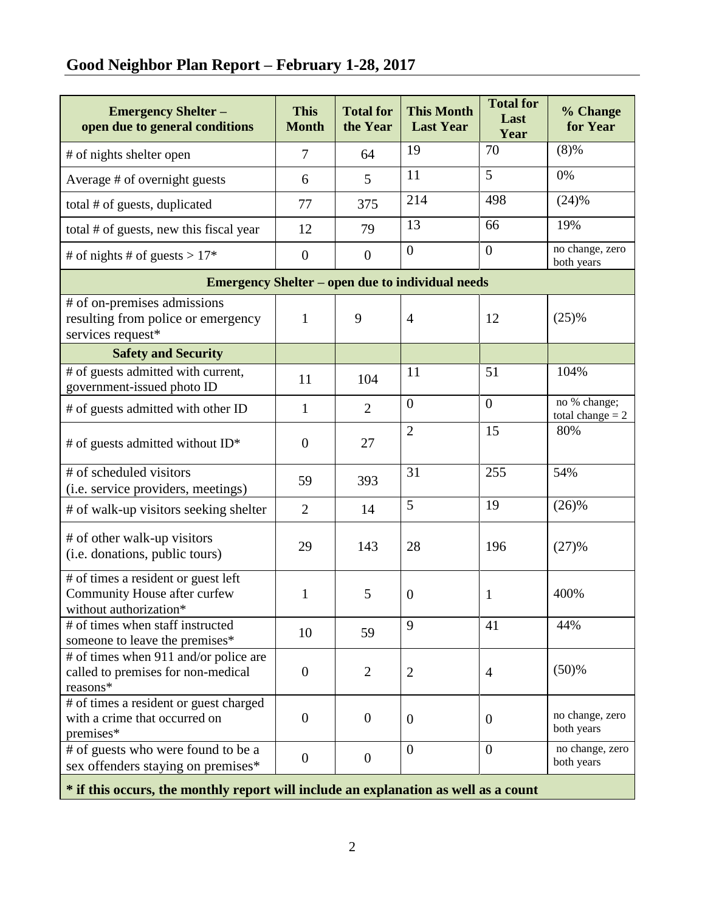# **Good Neighbor Plan Report – February 1-28, 2017**

| <b>Emergency Shelter -</b><br>open due to general conditions                                  | <b>This</b><br><b>Month</b> | <b>Total for</b><br>the Year | <b>This Month</b><br><b>Last Year</b> | <b>Total for</b><br>Last<br>Year | % Change<br>for Year               |  |  |  |  |
|-----------------------------------------------------------------------------------------------|-----------------------------|------------------------------|---------------------------------------|----------------------------------|------------------------------------|--|--|--|--|
| # of nights shelter open                                                                      | $\overline{7}$              | 64                           | 19                                    | 70                               | (8)%                               |  |  |  |  |
| Average # of overnight guests                                                                 | 6                           | 5                            | 11                                    | 5                                | 0%                                 |  |  |  |  |
| total # of guests, duplicated                                                                 | 77                          | 375                          | 214                                   | 498                              | (24)%                              |  |  |  |  |
| total # of guests, new this fiscal year                                                       | 12                          | 79                           | 13                                    | 66                               | 19%                                |  |  |  |  |
| # of nights # of guests > $17*$                                                               | $\boldsymbol{0}$            | $\boldsymbol{0}$             | $\overline{0}$                        | $\overline{0}$                   | no change, zero<br>both years      |  |  |  |  |
| <b>Emergency Shelter – open due to individual needs</b>                                       |                             |                              |                                       |                                  |                                    |  |  |  |  |
| # of on-premises admissions<br>resulting from police or emergency<br>services request*        | $\mathbf{1}$                | 9                            | $\overline{4}$                        | 12                               | (25)%                              |  |  |  |  |
| <b>Safety and Security</b>                                                                    |                             |                              |                                       |                                  |                                    |  |  |  |  |
| # of guests admitted with current,<br>government-issued photo ID                              | 11                          | 104                          | 11                                    | 51                               | 104%                               |  |  |  |  |
| # of guests admitted with other ID                                                            | $\mathbf{1}$                | $\overline{2}$               | $\overline{0}$                        | $\overline{0}$                   | no % change;<br>total change $= 2$ |  |  |  |  |
| # of guests admitted without ID*                                                              | $\overline{0}$              | 27                           | $\overline{2}$                        | 15                               | 80%                                |  |  |  |  |
| # of scheduled visitors<br>(i.e. service providers, meetings)                                 | 59                          | 393                          | 31                                    | 255                              | 54%                                |  |  |  |  |
| # of walk-up visitors seeking shelter                                                         | $\overline{2}$              | 14                           | 5                                     | 19                               | (26)%                              |  |  |  |  |
| # of other walk-up visitors<br>(i.e. donations, public tours)                                 | 29                          | 143                          | 28                                    | 196                              | (27)%                              |  |  |  |  |
| # of times a resident or guest left<br>Community House after curfew<br>without authorization* | 1                           | 5                            | $\boldsymbol{0}$                      | 1                                | 400%                               |  |  |  |  |
| # of times when staff instructed<br>someone to leave the premises*                            | 10                          | 59                           | 9                                     | 41                               | 44%                                |  |  |  |  |
| # of times when 911 and/or police are<br>called to premises for non-medical<br>reasons*       | $\mathbf{0}$                | $\overline{2}$               | $\overline{2}$                        | $\overline{4}$                   | (50)%                              |  |  |  |  |
| # of times a resident or guest charged<br>with a crime that occurred on<br>premises*          | $\overline{0}$              | $\mathbf{0}$                 | $\mathbf{0}$                          | $\mathbf{0}$                     | no change, zero<br>both years      |  |  |  |  |
| # of guests who were found to be a<br>sex offenders staying on premises*                      | $\overline{0}$              | $\boldsymbol{0}$             | $\overline{0}$                        | $\overline{0}$                   | no change, zero<br>both years      |  |  |  |  |
| * if this occurs, the monthly report will include an explanation as well as a count           |                             |                              |                                       |                                  |                                    |  |  |  |  |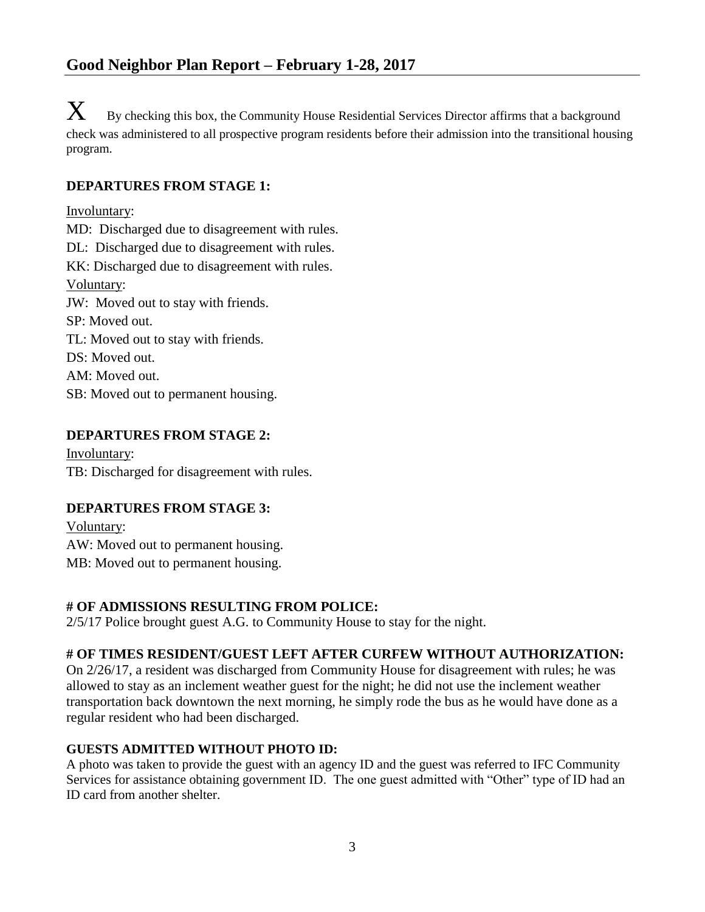$\mathbf X$  By checking this box, the Community House Residential Services Director affirms that a background check was administered to all prospective program residents before their admission into the transitional housing program.

### **DEPARTURES FROM STAGE 1:**

Involuntary: MD: Discharged due to disagreement with rules. DL: Discharged due to disagreement with rules. KK: Discharged due to disagreement with rules. Voluntary: JW: Moved out to stay with friends. SP: Moved out. TL: Moved out to stay with friends. DS: Moved out. AM: Moved out.

SB: Moved out to permanent housing.

#### **DEPARTURES FROM STAGE 2:**

Involuntary: TB: Discharged for disagreement with rules.

#### **DEPARTURES FROM STAGE 3:**

Voluntary: AW: Moved out to permanent housing. MB: Moved out to permanent housing.

#### **# OF ADMISSIONS RESULTING FROM POLICE:**

2/5/17 Police brought guest A.G. to Community House to stay for the night.

## **# OF TIMES RESIDENT/GUEST LEFT AFTER CURFEW WITHOUT AUTHORIZATION:**

On 2/26/17, a resident was discharged from Community House for disagreement with rules; he was allowed to stay as an inclement weather guest for the night; he did not use the inclement weather transportation back downtown the next morning, he simply rode the bus as he would have done as a regular resident who had been discharged.

#### **GUESTS ADMITTED WITHOUT PHOTO ID:**

A photo was taken to provide the guest with an agency ID and the guest was referred to IFC Community Services for assistance obtaining government ID. The one guest admitted with "Other" type of ID had an ID card from another shelter.